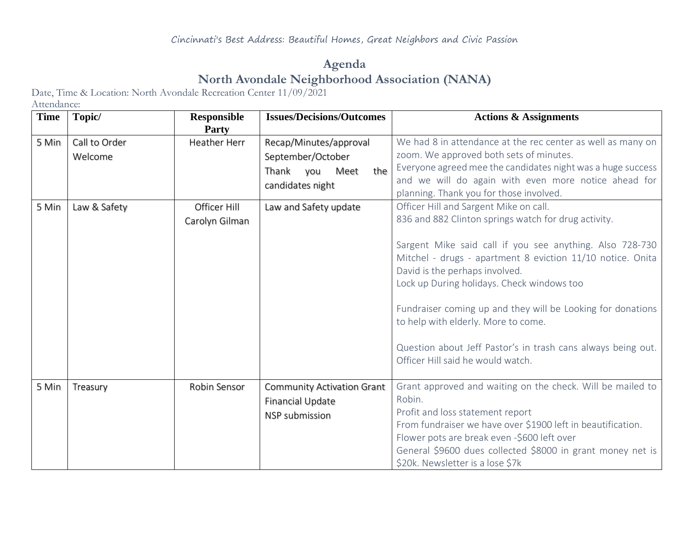## **Agenda North Avondale Neighborhood Association (NANA)**

Date, Time & Location: North Avondale Recreation Center 11/09/2021

Attendance:

| <b>Time</b> | Topic/                   | <b>Responsible</b>             | <b>Issues/Decisions/Outcomes</b>                                                               | <b>Actions &amp; Assignments</b>                                                                                                                                                                                                                                                                                                                                                                                                                                                                                    |
|-------------|--------------------------|--------------------------------|------------------------------------------------------------------------------------------------|---------------------------------------------------------------------------------------------------------------------------------------------------------------------------------------------------------------------------------------------------------------------------------------------------------------------------------------------------------------------------------------------------------------------------------------------------------------------------------------------------------------------|
| 5 Min       | Call to Order<br>Welcome | Party<br>Heather Herr          | Recap/Minutes/approval<br>September/October<br>the<br>Thank<br>you<br>Meet<br>candidates night | We had 8 in attendance at the rec center as well as many on<br>zoom. We approved both sets of minutes.<br>Everyone agreed mee the candidates night was a huge success<br>and we will do again with even more notice ahead for<br>planning. Thank you for those involved.                                                                                                                                                                                                                                            |
| 5 Min       | Law & Safety             | Officer Hill<br>Carolyn Gilman | Law and Safety update                                                                          | Officer Hill and Sargent Mike on call.<br>836 and 882 Clinton springs watch for drug activity.<br>Sargent Mike said call if you see anything. Also 728-730<br>Mitchel - drugs - apartment 8 eviction 11/10 notice. Onita<br>David is the perhaps involved.<br>Lock up During holidays. Check windows too<br>Fundraiser coming up and they will be Looking for donations<br>to help with elderly. More to come.<br>Question about Jeff Pastor's in trash cans always being out.<br>Officer Hill said he would watch. |
| 5 Min       | Treasury                 | Robin Sensor                   | <b>Community Activation Grant</b><br><b>Financial Update</b><br><b>NSP</b> submission          | Grant approved and waiting on the check. Will be mailed to<br>Robin.<br>Profit and loss statement report<br>From fundraiser we have over \$1900 left in beautification.<br>Flower pots are break even -\$600 left over<br>General \$9600 dues collected \$8000 in grant money net is<br>\$20k. Newsletter is a lose \$7k                                                                                                                                                                                            |